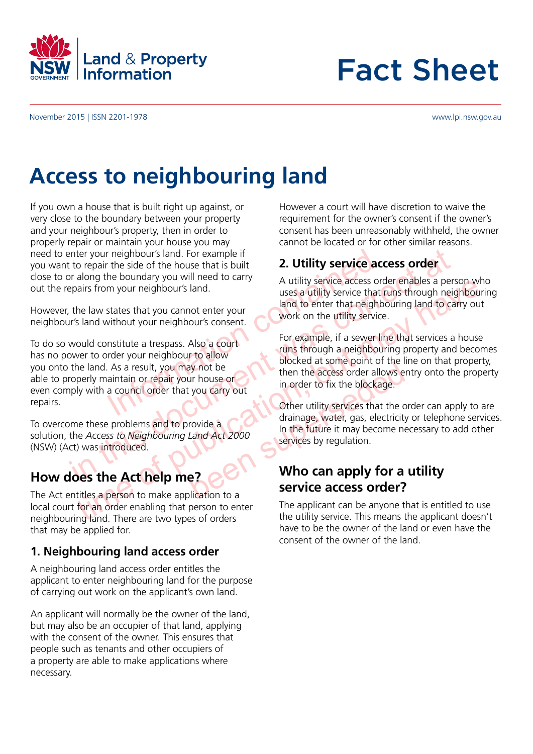

# Fact Sheet

November 2015 | ISSN 2201-1978

#### www.lpi.nsw.gov.au

## **Access to neighbouring land**

If you own a house that is built right up against, or very close to the boundary between your property and your neighbour's property, then in order to properly repair or maintain your house you may need to enter your neighbour's land. For example if you want to repair the side of the house that is built close to or along the boundary you will need to carry out the repairs from your neighbour's land.

However, the law states that you cannot enter your neighbour's land without your neighbour's consent.

Frame is the side of the house that is built<br>
A utility service access or m your neighbour's land.<br>
Service access or m your neighbour's land.<br>
See a utility service access or uses a utility service that the<br>
sea utility s mericular point is die of the house that is built to repair the side of the house that is built of the buondary you will need to carry<br>
you all need to carry<br>
the law states that you cannot enter your<br>
the law states that To do so would constitute a trespass. Also a court has no power to order your neighbour to allow you onto the land. As a result, you may not be able to properly maintain or repair your house or even comply with a council order that you carry out repairs.

To overcome these problems and to provide a solution, the *Access to Neighbouring Land Act 2000*  (NSW) (Act) was introduced.

#### **How does the Act help me?**

The Act entitles a person to make application to a local court for an order enabling that person to enter neighbouring land. There are two types of orders that may be applied for.

#### **1. Neighbouring land access order**

A neighbouring land access order entitles the applicant to enter neighbouring land for the purpose of carrying out work on the applicant's own land.

An applicant will normally be the owner of the land, but may also be an occupier of that land, applying with the consent of the owner. This ensures that people such as tenants and other occupiers of a property are able to make applications where necessary.

However a court will have discretion to waive the requirement for the owner's consent if the owner's consent has been unreasonably withheld, the owner cannot be located or for other similar reasons.

#### **2. Utility service access order**

A utility service access order enables a person who uses a utility service that runs through neighbouring land to enter that neighbouring land to carry out work on the utility service.

the state of the may serve all the state of the publication of the access of the publication of the access of the access of the access of the access of the access of the access of the access of the access of the access of For example, if a sewer line that services a house runs through a neighbouring property and becomes blocked at some point of the line on that property, then the access order allows entry onto the property in order to fix the blockage.

Franchise or<br>
Sur house or<br>
then the access order allows en<br>
then the access order allows en<br>
then the access order allows en<br>
other utility services that the or<br>
drainage, water, gas, electricity<br>
In the future it may bec Other utility services that the order can apply to are drainage, water, gas, electricity or telephone services. In the future it may become necessary to add other services by regulation.

#### **Who can apply for a utility service access order?**

The applicant can be anyone that is entitled to use the utility service. This means the applicant doesn't have to be the owner of the land or even have the consent of the owner of the land.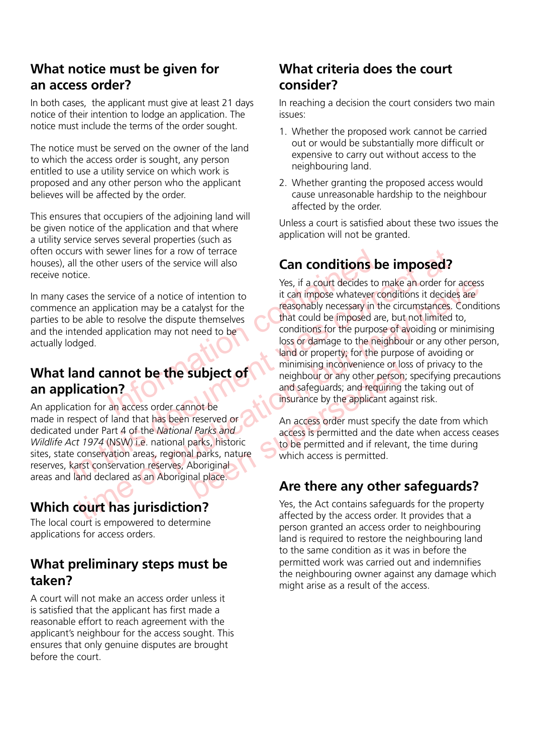#### **What notice must be given for an access order?**

In both cases, the applicant must give at least 21 days notice of their intention to lodge an application. The notice must include the terms of the order sought.

The notice must be served on the owner of the land to which the access order is sought, any person entitled to use a utility service on which work is proposed and any other person who the applicant believes will be affected by the order.

This ensures that occupiers of the adjoining land will be given notice of the application and that where a utility service serves several properties (such as often occurs with sewer lines for a row of terrace houses), all the other users of the service will also receive notice.

In many cases the service of a notice of intention to commence an application may be a catalyst for the parties to be able to resolve the dispute themselves and the intended application may not need to be actually lodged.

### **What land cannot be the subject of an application?**

An application for an access order cannot be made in respect of land that has been reserved or dedicated under Part 4 of the *National Parks and Wildlife Act 1974* (NSW) i.e. national parks, historic sites, state conservation areas, regional parks, nature reserves, karst conservation reserves, Aboriginal areas and land declared as an Aboriginal place.

## **Which court has jurisdiction?**

The local court is empowered to determine applications for access orders.

#### **What preliminary steps must be taken?**

A court will not make an access order unless it is satisfied that the applicant has first made a reasonable effort to reach agreement with the applicant's neighbour for the access sought. This ensures that only genuine disputes are brought before the court.

#### **What criteria does the court consider?**

In reaching a decision the court considers two main issues:

- 1. Whether the proposed work cannot be carried out or would be substantially more difficult or expensive to carry out without access to the neighbouring land.
- 2. Whether granting the proposed access would cause unreasonable hardship to the neighbour affected by the order.

Unless a court is satisfied about these two issues the application will not be granted.

## **Can conditions be imposed?**

Exercise of the service will also<br>
Service of a notice of intention to<br>
Incation may be a catalyst for the<br>
Internation contains to the contribution of the tores<br>
that could be impose whatever contained by the dispute them This dured the content of the Modellar and the conservation areas, equivalence at a notice of a notice of intention to<br>the ce an application may be a catalyst for the the mission measurement was considered to be able to re the service of a notice of intention to<br>
the discussionally hecessary in the circumstrances. Condition<br>
be able to resolve the dispute themselves<br>
be a catalyst for the the may not need to be<br>
the dispute themselves<br>
that Yes, if a court decides to make an order for access it can impose whatever conditions it decides are reasonably necessary in the circumstances. Conditions that could be imposed are, but not limited to, conditions for the purpose of avoiding or minimising loss or damage to the neighbour or any other person, land or property; for the purpose of avoiding or minimising inconvenience or loss of privacy to the neighbour or any other person; specifying precautions and safeguards; and requiring the taking out of insurance by the applicant against risk.

**subject of**<br>
minimising inconvenience or los<br>
neighbour or any other person;<br>
and safeguards; and requiring the<br>
insurance by the applicant again<br>
insurance by the applicant again<br>
finsurance by the applicant again<br>
finsu An access order must specify the date from which access is permitted and the date when access ceases to be permitted and if relevant, the time during which access is permitted.

### **Are there any other safeguards?**

Yes, the Act contains safeguards for the property affected by the access order. It provides that a person granted an access order to neighbouring land is required to restore the neighbouring land to the same condition as it was in before the permitted work was carried out and indemnifies the neighbouring owner against any damage which might arise as a result of the access.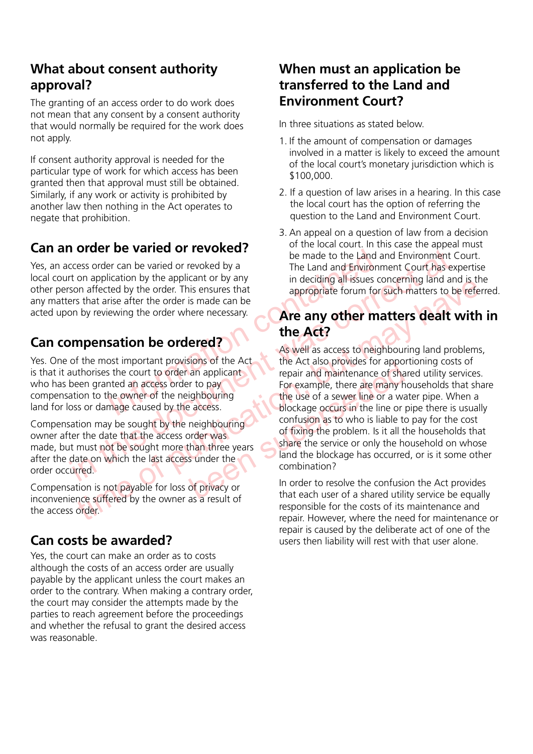#### **What about consent authority approval?**

The granting of an access order to do work does not mean that any consent by a consent authority that would normally be required for the work does not apply.

If consent authority approval is needed for the particular type of work for which access has been granted then that approval must still be obtained. Similarly, if any work or activity is prohibited by another law then nothing in the Act operates to negate that prohibition.

### **Can an order be varied or revoked?**

Yes, an access order can be varied or revoked by a local court on application by the applicant or by any other person affected by the order. This ensures that any matters that arise after the order is made can be acted upon by reviewing the order where necessary.

## **Can compensation be ordered?**

For the variety of the applicant of the part of the application by the applicant or by any in deciding all issues contains a first after the order is made can be<br>
Expected by the order. This ensures that<br>
rise after the or Yes. One of the most important provisions of the Act is that it authorises the court to order an applicant who has been granted an access order to pay compensation to the owner of the neighbouring land for loss or damage caused by the access.

Compensation may be sought by the neighbouring owner after the date that the access order was made, but must not be sought more than three years after the date on which the last access under the order occurred.

Compensation is not payable for loss of privacy or inconvenience suffered by the owner as a result of the access order.

#### **Can costs be awarded?**

Yes, the court can make an order as to costs although the costs of an access order are usually payable by the applicant unless the court makes an order to the contrary. When making a contrary order, the court may consider the attempts made by the parties to reach agreement before the proceedings and whether the refusal to grant the desired access was reasonable.

#### **When must an application be transferred to the Land and Environment Court?**

In three situations as stated below.

- 1. If the amount of compensation or damages involved in a matter is likely to exceed the amount of the local court's monetary jurisdiction which is \$100,000.
- 2. If a question of law arises in a hearing. In this case the local court has the option of referring the question to the Land and Environment Court.
- 3. An appeal on a question of law from a decision of the local court. In this case the appeal must be made to the Land and Environment Court. The Land and Environment Court has expertise in deciding all issues concerning land and is the appropriate forum for such matters to be referred.

#### **Are any other matters dealt with in the Act?**

**THE CONSECT AS WE THE CONSECT AND THE CONSECT AND THE CONSECT AND THE USE ONE CONSECT AND THE USE CONSECT AND THE USE CONSECT AND THE USE CONSECT AND THE CONSECT AND THE CONSECT AND THE CONSECT AND THE CONSECT AND THE CON** on affected by the order This ensures that<br>
appropriate forum for such matters dealt with in<br>
the Act any other matters dealt with in<br>
the most important provisions of the Act<br>
the Mexical so provides for apportioning data For example, there are many highbouring<br>
an applicant<br>
For example, there are many hot<br>
in the use of a sewer line or a ware<br>
blockage occurs in the line or p<br>
confusion as to who is liable to<br>
of fixing the problem. Is it As well as access to neighbouring land problems, the Act also provides for apportioning costs of repair and maintenance of shared utility services. For example, there are many households that share the use of a sewer line or a water pipe. When a blockage occurs in the line or pipe there is usually confusion as to who is liable to pay for the cost of fixing the problem. Is it all the households that share the service or only the household on whose land the blockage has occurred, or is it some other combination?

In order to resolve the confusion the Act provides that each user of a shared utility service be equally responsible for the costs of its maintenance and repair. However, where the need for maintenance or repair is caused by the deliberate act of one of the users then liability will rest with that user alone.